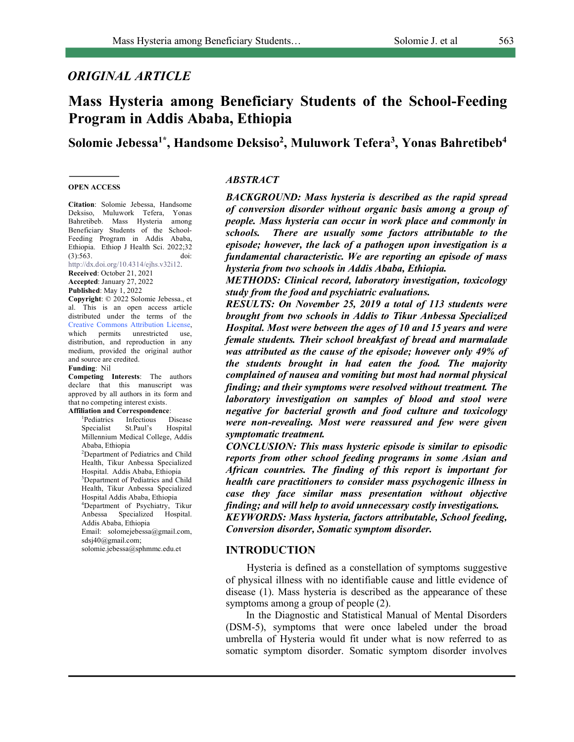**Solomie Jebessa1\*, Handsome Deksiso2 , Muluwork Tefera3 , Yonas Bahretibeb4**

#### **OPEN ACCESS**

**Citation**: Solomie Jebessa, Handsome Deksiso, Muluwork Tefera, Yonas Bahretibeb. Mass Hysteria among Beneficiary Students of the School-Feeding Program in Addis Ababa, Ethiopia. Ethiop J Health Sci. 2022;32 (3):563. doi: http://dx.doi.org/10.4314/ejhs.v32i12.

#### **Received**: October 21, 2021

**Accepted**: January 27, 2022 **Published**: May 1, 2022

**Copyright**: © 2022 Solomie Jebessa., et al. This is an open access article distributed under the terms of the Creative Commons Attribution License, which permits unrestricted use, distribution, and reproduction in any medium, provided the original author and source are credited. **Funding**: Nil

# **Competing Interests**: The authors

declare that this manuscript was approved by all authors in its form and that no competing interest exists.

**Affiliation and Correspondence**:

1 Pediatrics Infectious Disease Specialist St.Paul's Hospital Millennium Medical College, Addis Ababa, Ethiopia 2 Department of Pediatrics and Child Health, Tikur Anbessa Specialized Hospital. Addis Ababa, Ethiopia 3 Department of Pediatrics and Child Health, Tikur Anbessa Specialized Hospital Addis Ababa, Ethiopia 4 Department of Psychiatry, Tikur Anbessa Specialized Hospital. Addis Ababa, Ethiopia Email: solomejebessa@gmail.com, sdsj40@gmail.com; solomie.jebessa@sphmmc.edu.et

#### *ABSTRACT*

*BACKGROUND: Mass hysteria is described as the rapid spread of conversion disorder without organic basis among a group of people. Mass hysteria can occur in work place and commonly in schools. There are usually some factors attributable to the episode; however, the lack of a pathogen upon investigation is a fundamental characteristic. We are reporting an episode of mass hysteria from two schools in Addis Ababa, Ethiopia.* 

*METHODS: Clinical record, laboratory investigation, toxicology study from the food and psychiatric evaluations.* 

*RESULTS: On November 25, 2019 a total of 113 students were brought from two schools in Addis to Tikur Anbessa Specialized Hospital. Most were between the ages of 10 and 15 years and were female students. Their school breakfast of bread and marmalade was attributed as the cause of the episode; however only 49% of the students brought in had eaten the food. The majority complained of nausea and vomiting but most had normal physical finding; and their symptoms were resolved without treatment. The laboratory investigation on samples of blood and stool were negative for bacterial growth and food culture and toxicology were non-revealing. Most were reassured and few were given symptomatic treatment.* 

*CONCLUSION: This mass hysteric episode is similar to episodic reports from other school feeding programs in some Asian and African countries. The finding of this report is important for health care practitioners to consider mass psychogenic illness in case they face similar mass presentation without objective finding; and will help to avoid unnecessary costly investigations. KEYWORDS: Mass hysteria, factors attributable, School feeding,* 

*Conversion disorder, Somatic symptom disorder.*

#### **INTRODUCTION**

 Hysteria is defined as a constellation of symptoms suggestive of physical illness with no identifiable cause and little evidence of disease (1). Mass hysteria is described as the appearance of these symptoms among a group of people (2).

In the Diagnostic and Statistical Manual of Mental Disorders (DSM-5), symptoms that were once labeled under the broad umbrella of Hysteria would fit under what is now referred to as somatic symptom disorder. Somatic symptom disorder involves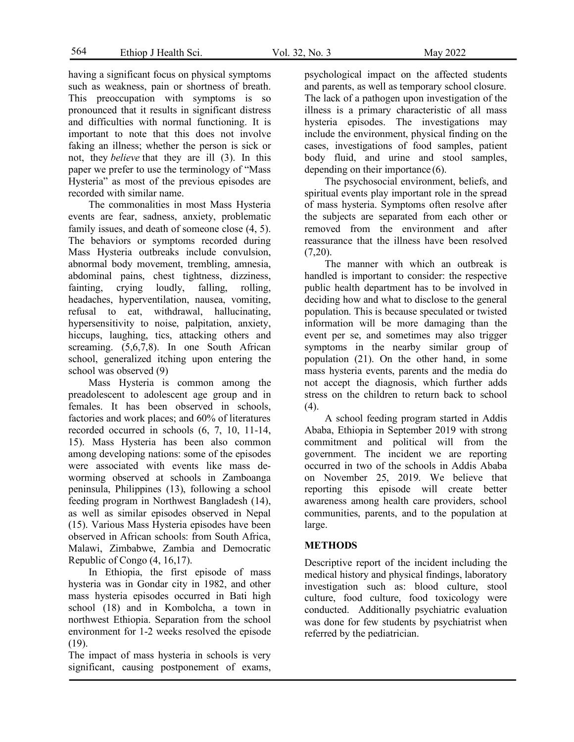564 Ethiop J Health Sci. Vol. 32, No. 3 May 2022

having a significant focus on physical symptoms such as weakness, pain or shortness of breath. This preoccupation with symptoms is so pronounced that it results in significant distress and difficulties with normal functioning. It is important to note that this does not involve faking an illness; whether the person is sick or not, they *believe* that they are ill (3). In this paper we prefer to use the terminology of "Mass Hysteria" as most of the previous episodes are recorded with similar name.

The commonalities in most Mass Hysteria events are fear, sadness, anxiety, problematic family issues, and death of someone close (4, 5). The behaviors or symptoms recorded during Mass Hysteria outbreaks include convulsion, abnormal body movement, trembling, amnesia, abdominal pains, chest tightness, dizziness, fainting, crying loudly, falling, rolling, headaches, hyperventilation, nausea, vomiting, refusal to eat, withdrawal, hallucinating, hypersensitivity to noise, palpitation, anxiety, hiccups, laughing, tics, attacking others and screaming. (5,6,7,8). In one South African school, generalized itching upon entering the school was observed (9)

Mass Hysteria is common among the preadolescent to adolescent age group and in females. It has been observed in schools, factories and work places; and 60% of literatures recorded occurred in schools (6, 7, 10, 11-14, 15). Mass Hysteria has been also common among developing nations: some of the episodes were associated with events like mass deworming observed at schools in Zamboanga peninsula, Philippines (13), following a school feeding program in Northwest Bangladesh (14), as well as similar episodes observed in Nepal (15). Various Mass Hysteria episodes have been observed in African schools: from South Africa, Malawi, Zimbabwe, Zambia and Democratic Republic of Congo (4, 16,17).

In Ethiopia, the first episode of mass hysteria was in Gondar city in 1982, and other mass hysteria episodes occurred in Bati high school (18) and in Kombolcha, a town in northwest Ethiopia. Separation from the school environment for 1-2 weeks resolved the episode (19).

The impact of mass hysteria in schools is very significant, causing postponement of exams, and parents, as well as temporary school closure. The lack of a pathogen upon investigation of the illness is a primary characteristic of all mass hysteria episodes. The investigations may include the environment, physical finding on the cases, investigations of food samples, patient body fluid, and urine and stool samples, depending on their importance (6).

The psychosocial environment, beliefs, and spiritual events play important role in the spread of mass hysteria. Symptoms often resolve after the subjects are separated from each other or removed from the environment and after reassurance that the illness have been resolved (7,20).

The manner with which an outbreak is handled is important to consider: the respective public health department has to be involved in deciding how and what to disclose to the general population. This is because speculated or twisted information will be more damaging than the event per se, and sometimes may also trigger symptoms in the nearby similar group of population (21). On the other hand, in some mass hysteria events, parents and the media do not accept the diagnosis, which further adds stress on the children to return back to school  $(4)$ .

A school feeding program started in Addis Ababa, Ethiopia in September 2019 with strong commitment and political will from the government. The incident we are reporting occurred in two of the schools in Addis Ababa on November 25, 2019. We believe that reporting this episode will create better awareness among health care providers, school communities, parents, and to the population at large.

## **METHODS**

Descriptive report of the incident including the medical history and physical findings, laboratory investigation such as: blood culture, stool culture, food culture, food toxicology were conducted. Additionally psychiatric evaluation was done for few students by psychiatrist when referred by the pediatrician.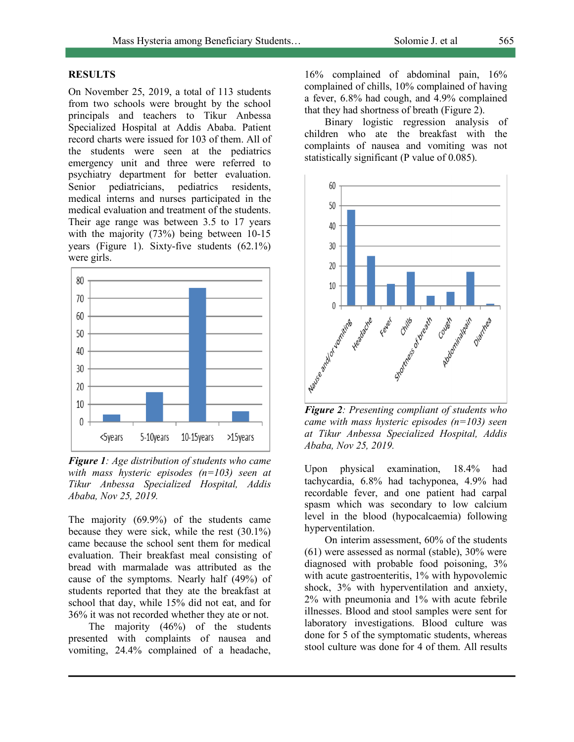## **RESULTS**

On November 25, 2019, a total of 113 students from two schools were brought by the school principals and teachers to Tikur Anbessa Specialized Hospital at Addis Ababa. Patient record charts were issued for 103 of them. All of the students were seen at the pediatrics emergency unit and three were referred to psychiatry department for better evaluation. Senior pediatricians, pediatrics residents, medical interns and nurses participated in the medical evaluation and treatment of the students. Their age range was between 3.5 to 17 years with the majority (73%) being between 10-15 years (Figure 1). Sixty-five students (62.1%) were girls.



*Figure 1: Age distribution of students who came with mass hysteric episodes (n=103) seen at Tikur Anbessa Specialized Hospital, Addis Ababa, Nov 25, 2019.*

The majority (69.9%) of the students came because they were sick, while the rest (30.1%) came because the school sent them for medical evaluation. Their breakfast meal consisting of bread with marmalade was attributed as the cause of the symptoms. Nearly half (49%) of students reported that they ate the breakfast at school that day, while 15% did not eat, and for 36% it was not recorded whether they ate or not.

The majority (46%) of the students presented with complaints of nausea and vomiting, 24.4% complained of a headache, 16% complained of abdominal pain, 16% complained of chills, 10% complained of having a fever, 6.8% had cough, and 4.9% complained that they had shortness of breath (Figure 2).

Binary logistic regression analysis of children who ate the breakfast with the complaints of nausea and vomiting was not statistically significant (P value of 0.085).



*Figure 2: Presenting compliant of students who came with mass hysteric episodes (n=103) seen at Tikur Anbessa Specialized Hospital, Addis Ababa, Nov 25, 2019.*

Upon physical examination, 18.4% had tachycardia, 6.8% had tachyponea, 4.9% had recordable fever, and one patient had carpal spasm which was secondary to low calcium level in the blood (hypocalcaemia) following hyperventilation.

On interim assessment, 60% of the students (61) were assessed as normal (stable), 30% were diagnosed with probable food poisoning, 3% with acute gastroenteritis, 1% with hypovolemic shock, 3% with hyperventilation and anxiety, 2% with pneumonia and 1% with acute febrile illnesses. Blood and stool samples were sent for laboratory investigations. Blood culture was done for 5 of the symptomatic students, whereas stool culture was done for 4 of them. All results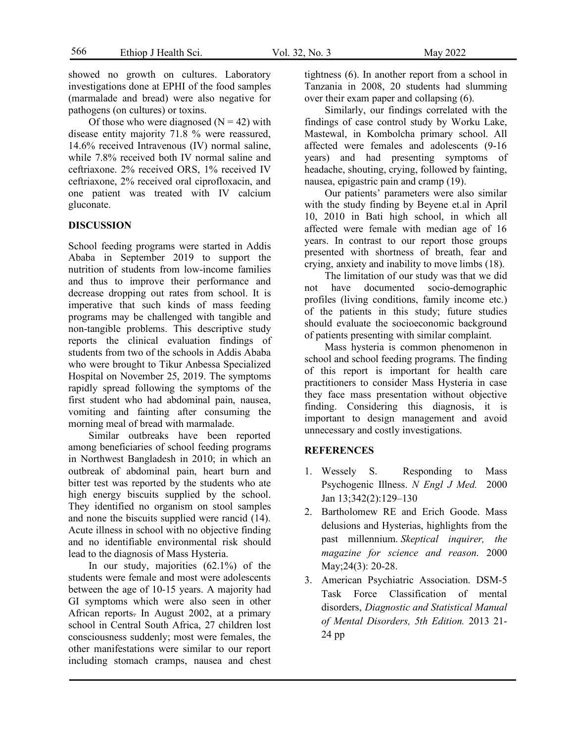showed no growth on cultures. Laboratory investigations done at EPHI of the food samples (marmalade and bread) were also negative for pathogens (on cultures) or toxins.

Of those who were diagnosed  $(N = 42)$  with disease entity majority 71.8 % were reassured, 14.6% received Intravenous (IV) normal saline, while 7.8% received both IV normal saline and ceftriaxone. 2% received ORS, 1% received IV ceftriaxone, 2% received oral ciprofloxacin, and one patient was treated with IV calcium gluconate.

### **DISCUSSION**

School feeding programs were started in Addis Ababa in September 2019 to support the nutrition of students from low-income families and thus to improve their performance and decrease dropping out rates from school. It is imperative that such kinds of mass feeding programs may be challenged with tangible and non-tangible problems. This descriptive study reports the clinical evaluation findings of students from two of the schools in Addis Ababa who were brought to Tikur Anbessa Specialized Hospital on November 25, 2019. The symptoms rapidly spread following the symptoms of the first student who had abdominal pain, nausea, vomiting and fainting after consuming the morning meal of bread with marmalade.

Similar outbreaks have been reported among beneficiaries of school feeding programs in Northwest Bangladesh in 2010; in which an outbreak of abdominal pain, heart burn and bitter test was reported by the students who ate high energy biscuits supplied by the school. They identified no organism on stool samples and none the biscuits supplied were rancid (14). Acute illness in school with no objective finding and no identifiable environmental risk should lead to the diagnosis of Mass Hysteria.

In our study, majorities (62.1%) of the students were female and most were adolescents between the age of 10-15 years. A majority had GI symptoms which were also seen in other African reports. In August 2002, at a primary school in Central South Africa, 27 children lost consciousness suddenly; most were females, the other manifestations were similar to our report including stomach cramps, nausea and chest tightness (6). In another report from a school in Tanzania in 2008, 20 students had slumming over their exam paper and collapsing (6).

Similarly, our findings correlated with the findings of case control study by Worku Lake, Mastewal, in Kombolcha primary school. All affected were females and adolescents (9-16 years) and had presenting symptoms of headache, shouting, crying, followed by fainting, nausea, epigastric pain and cramp (19).

Our patients' parameters were also similar with the study finding by Beyene et.al in April 10, 2010 in Bati high school, in which all affected were female with median age of 16 years. In contrast to our report those groups presented with shortness of breath, fear and crying, anxiety and inability to move limbs (18).

The limitation of our study was that we did not have documented socio-demographic profiles (living conditions, family income etc.) of the patients in this study; future studies should evaluate the socioeconomic background of patients presenting with similar complaint.

Mass hysteria is common phenomenon in school and school feeding programs. The finding of this report is important for health care practitioners to consider Mass Hysteria in case they face mass presentation without objective finding. Considering this diagnosis, it is important to design management and avoid unnecessary and costly investigations.

#### **REFERENCES**

- 1. Wessely S. Responding to Mass Psychogenic Illness. *N Engl J Med.* 2000 Jan 13;342(2):129–130
- 2. Bartholomew RE and Erich Goode. Mass delusions and Hysterias, highlights from the past millennium. *Skeptical inquirer, the magazine for science and reason*. 2000 May; 24(3): 20-28.
- 3. American Psychiatric Association. DSM-5 Task Force Classification of mental disorders, *Diagnostic and Statistical Manual of Mental Disorders, 5th Edition.* 2013 21- 24 pp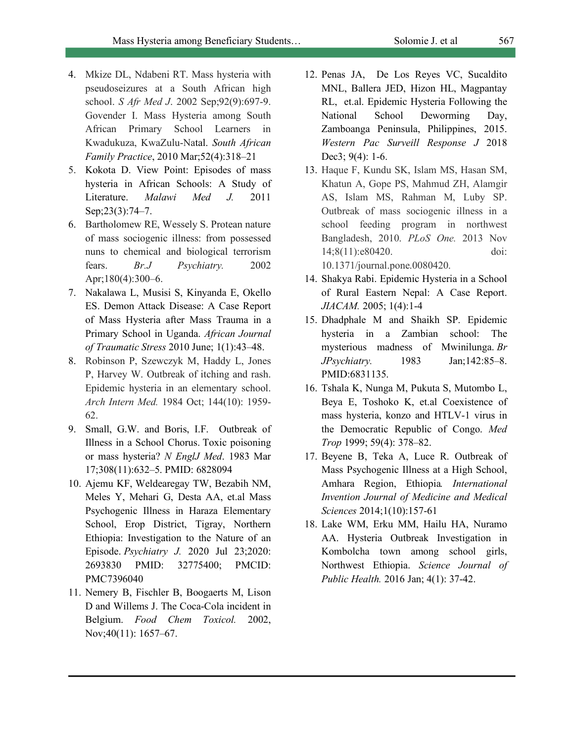- 4. Mkize DL, Ndabeni RT. Mass hysteria with pseudoseizures at a South African high school. *S Afr Med J*. 2002 Sep;92(9):697-9. Govender I. Mass Hysteria among South African Primary School Learners in Kwadukuza, KwaZulu-Natal. *South African Family Practice*, 2010 Mar;52(4):318–21
- 5. Kokota D. View Point: Episodes of mass hysteria in African Schools: A Study of Literature. *Malawi Med J.* 2011 Sep;23(3):74–7.
- 6. Bartholomew RE, Wessely S. Protean nature of mass sociogenic illness: from possessed nuns to chemical and biological terrorism fears. *Br.J Psychiatry.* 2002 Apr;180(4):300–6.
- 7. Nakalawa L, Musisi S, Kinyanda E, Okello ES. Demon Attack Disease: A Case Report of Mass Hysteria after Mass Trauma in a Primary School in Uganda. *African Journal of Traumatic Stress* 2010 June; 1(1):43–48.
- 8. Robinson P, Szewczyk M, Haddy L, Jones P, Harvey W. Outbreak of itching and rash. Epidemic hysteria in an elementary school. *Arch Intern Med.* 1984 Oct; 144(10): 1959- 62.
- 9. Small, G.W. and Boris, I.F. Outbreak of Illness in a School Chorus. Toxic poisoning or mass hysteria? *N EnglJ Med*. 1983 Mar 17;308(11):632–5. PMID: 6828094
- 10. Ajemu KF, Weldearegay TW, Bezabih NM, Meles Y, Mehari G, Desta AA, et.al Mass Psychogenic Illness in Haraza Elementary School, Erop District, Tigray, Northern Ethiopia: Investigation to the Nature of an Episode. *Psychiatry J.* 2020 Jul 23;2020: 2693830 PMID: 32775400; PMCID: PMC7396040
- 11. Nemery B, Fischler B, Boogaerts M, Lison D and Willems J. The Coca-Cola incident in Belgium. *Food Chem Toxicol.* 2002, Nov;40(11): 1657–67.
- 12. Penas JA, De Los Reyes VC, Sucaldito MNL, Ballera JED, Hizon HL, Magpantay RL, et.al. Epidemic Hysteria Following the National School Deworming Day, Zamboanga Peninsula, Philippines, 2015. *Western Pac Surveill Response J* 2018 Dec3; 9(4): 1-6.
- 13. Haque F, Kundu SK, Islam MS, Hasan SM, Khatun A, Gope PS, Mahmud ZH, Alamgir AS, Islam MS, Rahman M, Luby SP. Outbreak of mass sociogenic illness in a school feeding program in northwest Bangladesh, 2010. *PLoS One.* 2013 Nov 14;8(11):e80420. doi: 10.1371/journal.pone.0080420.
- 14. Shakya Rabi. Epidemic Hysteria in a School of Rural Eastern Nepal: A Case Report. *JIACAM.* 2005; 1(4):1-4
- 15. Dhadphale M and Shaikh SP. Epidemic hysteria in a Zambian school: The mysterious madness of Mwinilunga. *Br JPsychiatry.* 1983 Jan;142:85–8. PMID:6831135.
- 16. Tshala K, Nunga M, Pukuta S, Mutombo L, Beya E, Toshoko K, et.al Coexistence of mass hysteria, konzo and HTLV-1 virus in the Democratic Republic of Congo. *Med Trop* 1999; 59(4): 378–82.
- 17. Beyene B, Teka A, Luce R. Outbreak of Mass Psychogenic Illness at a High School, Amhara Region, Ethiopia*. International Invention Journal of Medicine and Medical Sciences* 2014;1(10):157-61
- 18. Lake WM, Erku MM, Hailu HA, Nuramo AA. Hysteria Outbreak Investigation in Kombolcha town among school girls, Northwest Ethiopia. *Science Journal of Public Health.* 2016 Jan; 4(1): 37-42.